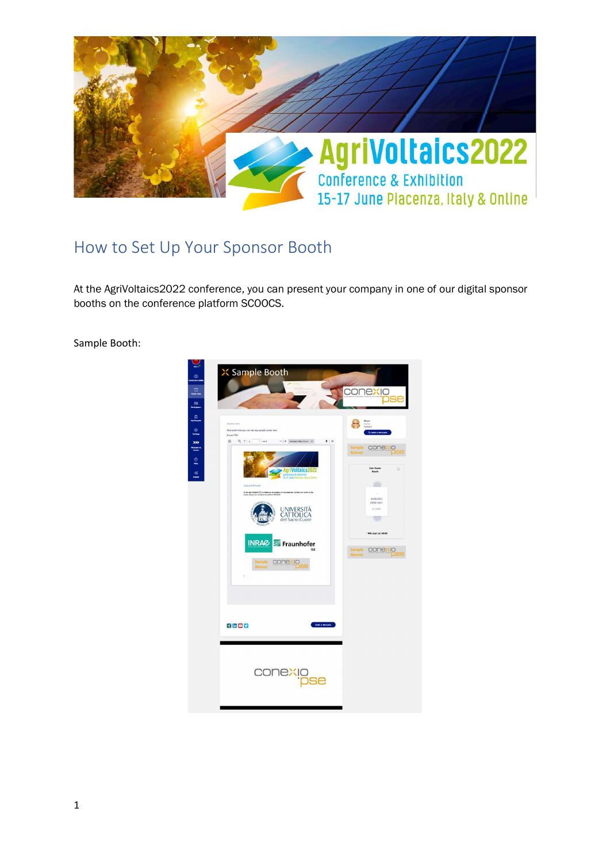

## How to Set Up Your Sponsor Booth

At the AgriVoltaics2022 conference, you can present your company in one of our digital sponsor booths on the conference platform SCOOCS.

Sample Booth:

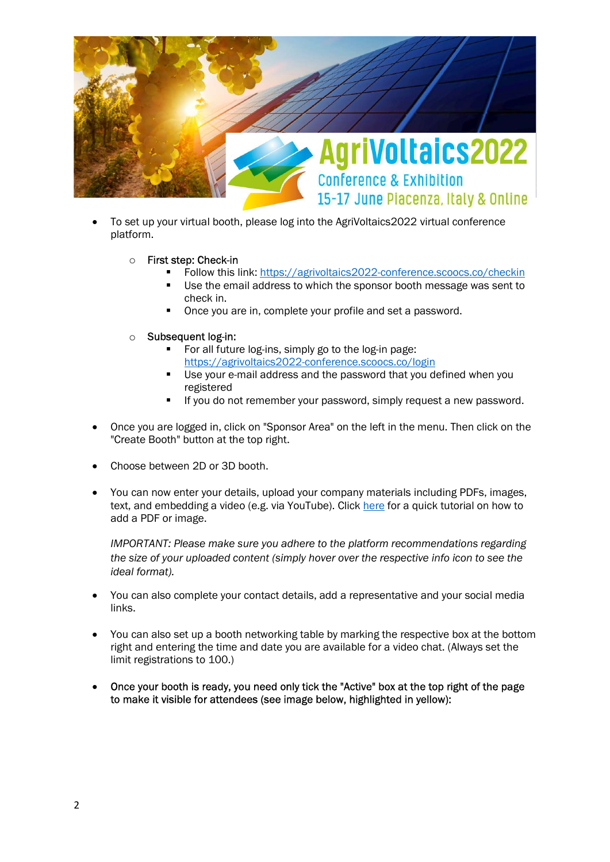

- To set up your virtual booth, please log into the AgriVoltaics2022 virtual conference platform.
	- o First step: Check-in
		- Follow this link: https://agrivoltaics2022-conference.scoocs.co/checkin
		- Use the email address to which the sponsor booth message was sent to check in.
		- Once you are in, complete your profile and set a password.
	- o Subsequent log-in:
		- For all future log-ins, simply go to the log-in page: https://agrivoltaics2022-conference.scoocs.co/login
		- Use your e-mail address and the password that you defined when you registered
		- If you do not remember your password, simply request a new password.
- Once you are logged in, click on "Sponsor Area" on the left in the menu. Then click on the "Create Booth" button at the top right.
- Choose between 2D or 3D booth.
- You can now enter your details, upload your company materials including PDFs, images, text, and embedding a video (e.g. via YouTube). Click here for a quick tutorial on how to add a PDF or image.

IMPORTANT: Please make sure you adhere to the platform recommendations regarding the size of your uploaded content (simply hover over the respective info icon to see the ideal format).

- You can also complete your contact details, add a representative and your social media links.
- You can also set up a booth networking table by marking the respective box at the bottom right and entering the time and date you are available for a video chat. (Always set the limit registrations to 100.)
- Once your booth is ready, you need only tick the "Active" box at the top right of the page to make it visible for attendees (see image below, highlighted in yellow):